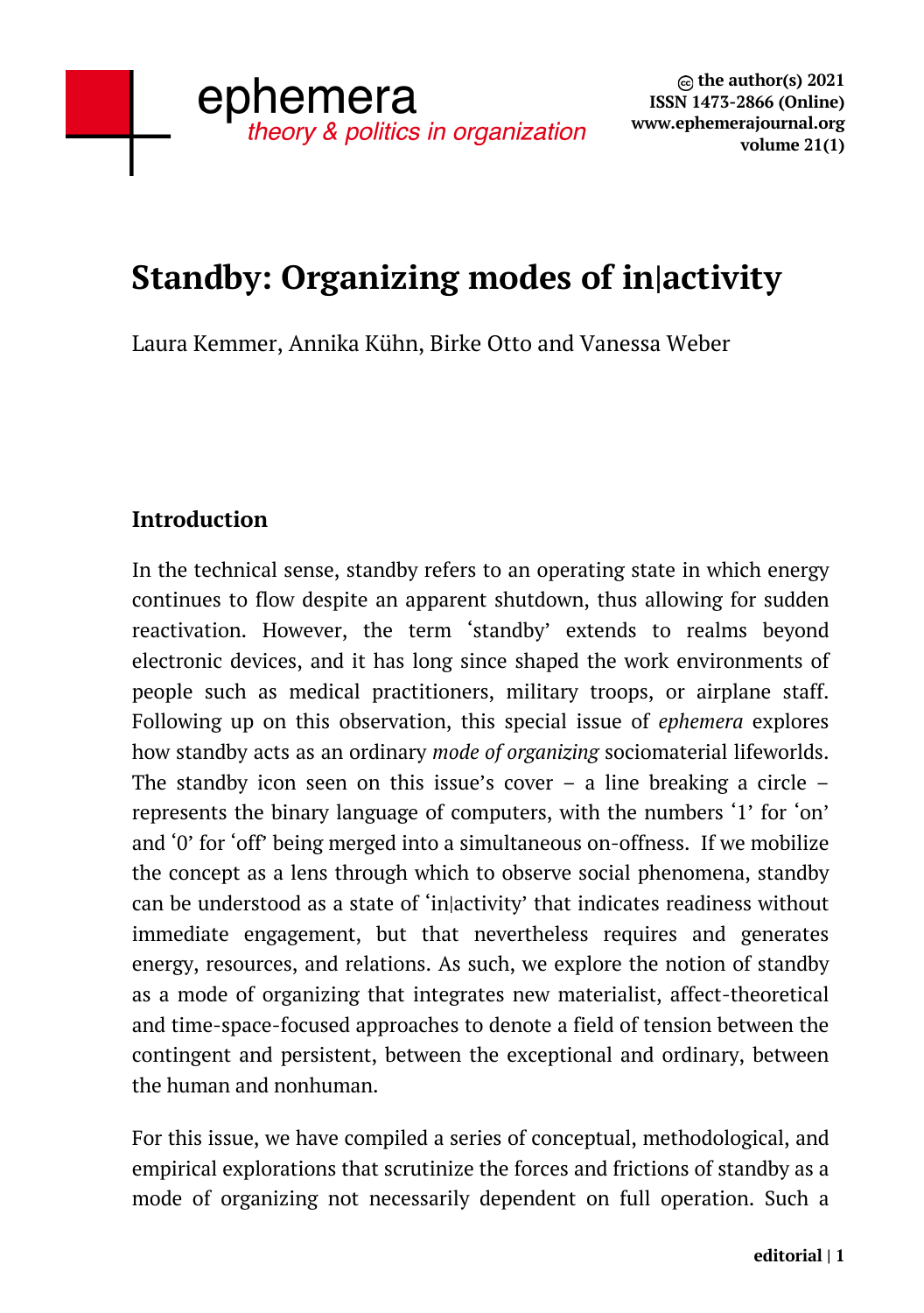# **Standby: Organizing modes of in|activity**

Laura Kemmer, Annika Kühn, Birke Otto and Vanessa Weber

## **Introduction**

In the technical sense, standby refers to an operating state in which energy continues to flow despite an apparent shutdown, thus allowing for sudden reactivation. However, the term 'standby' extends to realms beyond electronic devices, and it has long since shaped the work environments of people such as medical practitioners, military troops, or airplane staff. Following up on this observation, this special issue of *ephemera* explores how standby acts as an ordinary *mode of organizing* sociomaterial lifeworlds. The standby icon seen on this issue's cover – a line breaking a circle – represents the binary language of computers, with the numbers '1' for 'on' and '0' for 'off' being merged into a simultaneous on-offness. If we mobilize the concept as a lens through which to observe social phenomena, standby can be understood as a state of 'in|activity' that indicates readiness without immediate engagement, but that nevertheless requires and generates energy, resources, and relations. As such, we explore the notion of standby as a mode of organizing that integrates new materialist, affect-theoretical and time-space-focused approaches to denote a field of tension between the contingent and persistent, between the exceptional and ordinary, between the human and nonhuman.

For this issue, we have compiled a series of conceptual, methodological, and empirical explorations that scrutinize the forces and frictions of standby as a mode of organizing not necessarily dependent on full operation. Such a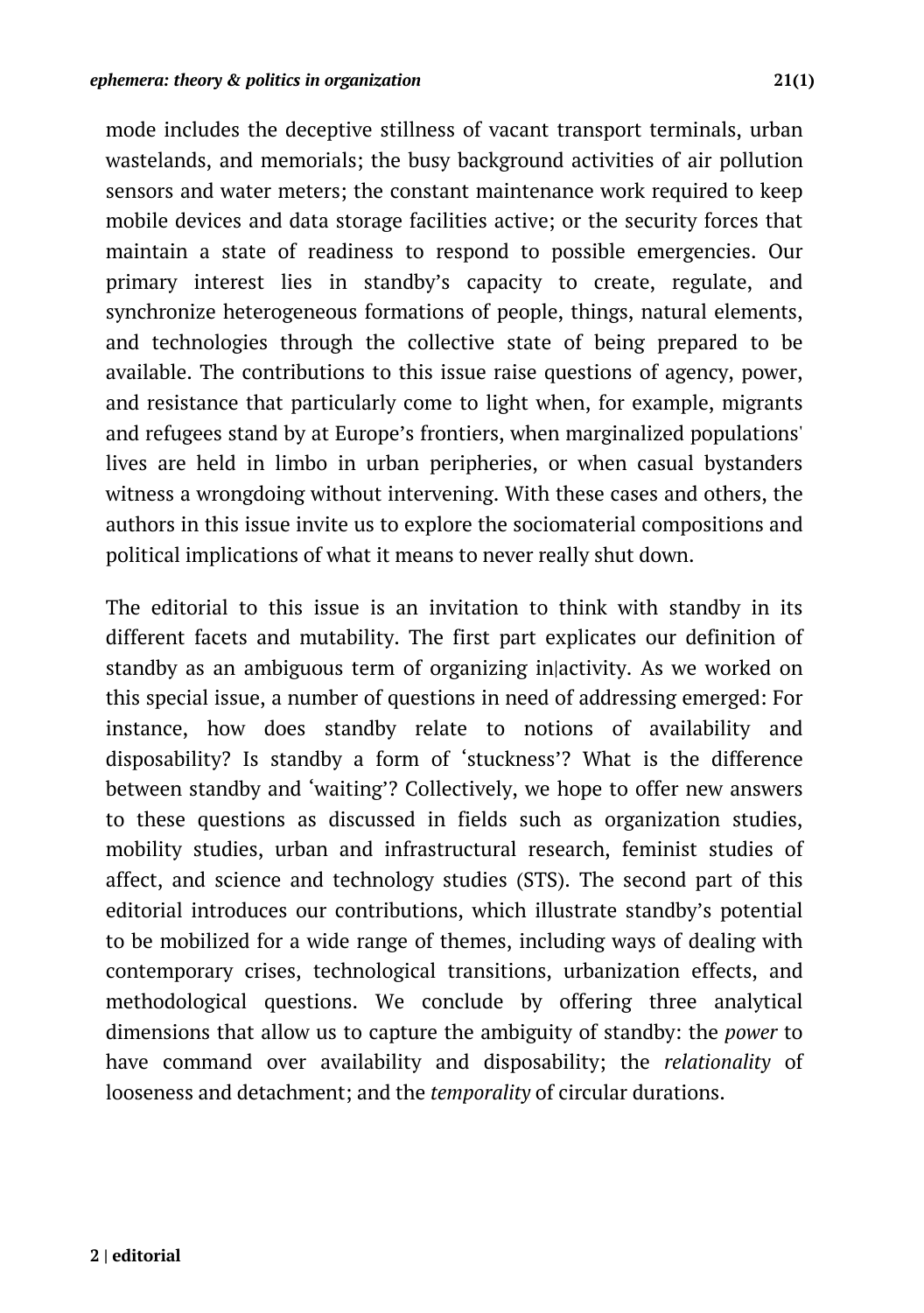mode includes the deceptive stillness of vacant transport terminals, urban wastelands, and memorials; the busy background activities of air pollution sensors and water meters; the constant maintenance work required to keep mobile devices and data storage facilities active; or the security forces that maintain a state of readiness to respond to possible emergencies. Our primary interest lies in standby's capacity to create, regulate, and synchronize heterogeneous formations of people, things, natural elements, and technologies through the collective state of being prepared to be available. The contributions to this issue raise questions of agency, power, and resistance that particularly come to light when, for example, migrants and refugees stand by at Europe's frontiers, when marginalized populations' lives are held in limbo in urban peripheries, or when casual bystanders witness a wrongdoing without intervening. With these cases and others, the authors in this issue invite us to explore the sociomaterial compositions and political implications of what it means to never really shut down.

The editorial to this issue is an invitation to think with standby in its different facets and mutability. The first part explicates our definition of standby as an ambiguous term of organizing in|activity. As we worked on this special issue, a number of questions in need of addressing emerged: For instance, how does standby relate to notions of availability and disposability? Is standby a form of 'stuckness'? What is the difference between standby and 'waiting'? Collectively, we hope to offer new answers to these questions as discussed in fields such as organization studies, mobility studies, urban and infrastructural research, feminist studies of affect, and science and technology studies (STS). The second part of this editorial introduces our contributions, which illustrate standby's potential to be mobilized for a wide range of themes, including ways of dealing with contemporary crises, technological transitions, urbanization effects, and methodological questions. We conclude by offering three analytical dimensions that allow us to capture the ambiguity of standby: the *power* to have command over availability and disposability; the *relationality* of looseness and detachment; and the *temporality* of circular durations.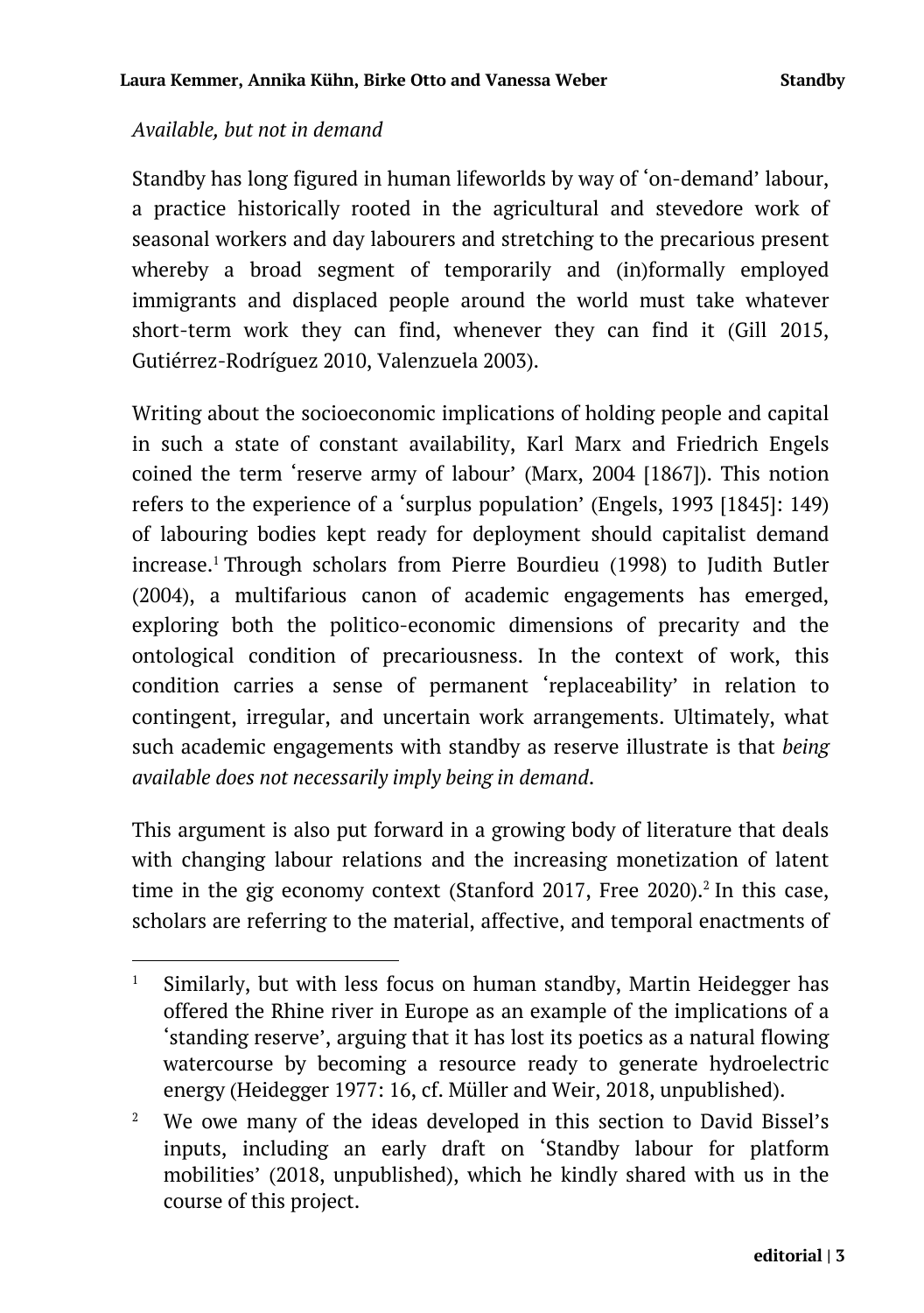#### *Available, but not in demand*

Standby has long figured in human lifeworlds by way of 'on-demand' labour, a practice historically rooted in the agricultural and stevedore work of seasonal workers and day labourers and stretching to the precarious present whereby a broad segment of temporarily and (in)formally employed immigrants and displaced people around the world must take whatever short-term work they can find, whenever they can find it (Gill 2015, Gutiérrez-Rodríguez 2010, Valenzuela 2003).

Writing about the socioeconomic implications of holding people and capital in such a state of constant availability, Karl Marx and Friedrich Engels coined the term 'reserve army of labour' (Marx, 2004 [1867]). This notion refers to the experience of a 'surplus population' (Engels, 1993 [1845]: 149) of labouring bodies kept ready for deployment should capitalist demand increase.<sup>1</sup> Through scholars from Pierre Bourdieu (1998) to Judith Butler (2004), a multifarious canon of academic engagements has emerged, exploring both the politico-economic dimensions of precarity and the ontological condition of precariousness. In the context of work, this condition carries a sense of permanent 'replaceability' in relation to contingent, irregular, and uncertain work arrangements. Ultimately, what such academic engagements with standby as reserve illustrate is that *being available does not necessarily imply being in demand*.

This argument is also put forward in a growing body of literature that deals with changing labour relations and the increasing monetization of latent time in the gig economy context (Stanford 2017, Free 2020).<sup>2</sup> In this case, scholars are referring to the material, affective, and temporal enactments of

<sup>1</sup> Similarly, but with less focus on human standby, Martin Heidegger has offered the Rhine river in Europe as an example of the implications of a 'standing reserve', arguing that it has lost its poetics as a natural flowing watercourse by becoming a resource ready to generate hydroelectric energy (Heidegger 1977: 16, cf. Müller and Weir, 2018, unpublished).

<sup>&</sup>lt;sup>2</sup> We owe many of the ideas developed in this section to David Bissel's inputs, including an early draft on 'Standby labour for platform mobilities' (2018, unpublished), which he kindly shared with us in the course of this project.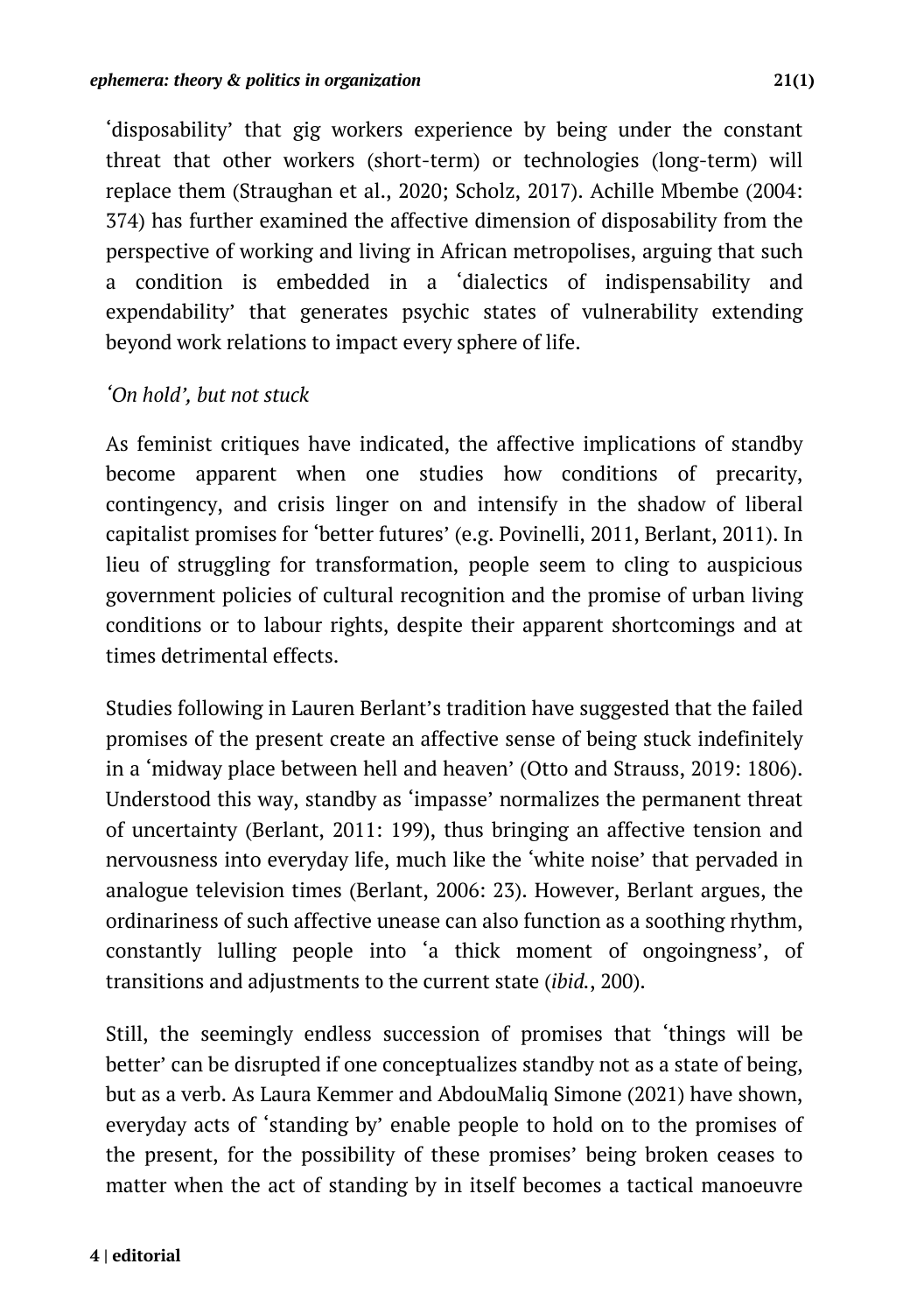'disposability' that gig workers experience by being under the constant threat that other workers (short-term) or technologies (long-term) will replace them (Straughan et al., 2020; Scholz, 2017). Achille Mbembe (2004: 374) has further examined the affective dimension of disposability from the perspective of working and living in African metropolises, arguing that such a condition is embedded in a 'dialectics of indispensability and expendability' that generates psychic states of vulnerability extending beyond work relations to impact every sphere of life.

#### *'On hold', but not stuck*

As feminist critiques have indicated, the affective implications of standby become apparent when one studies how conditions of precarity, contingency, and crisis linger on and intensify in the shadow of liberal capitalist promises for 'better futures' (e.g. Povinelli, 2011, Berlant, 2011). In lieu of struggling for transformation, people seem to cling to auspicious government policies of cultural recognition and the promise of urban living conditions or to labour rights, despite their apparent shortcomings and at times detrimental effects.

Studies following in Lauren Berlant's tradition have suggested that the failed promises of the present create an affective sense of being stuck indefinitely in a 'midway place between hell and heaven' (Otto and Strauss, 2019: 1806). Understood this way, standby as 'impasse' normalizes the permanent threat of uncertainty (Berlant, 2011: 199), thus bringing an affective tension and nervousness into everyday life, much like the 'white noise' that pervaded in analogue television times (Berlant, 2006: 23). However, Berlant argues, the ordinariness of such affective unease can also function as a soothing rhythm, constantly lulling people into 'a thick moment of ongoingness', of transitions and adjustments to the current state (*ibid.*, 200).

Still, the seemingly endless succession of promises that 'things will be better' can be disrupted if one conceptualizes standby not as a state of being, but as a verb. As Laura Kemmer and AbdouMaliq Simone (2021) have shown, everyday acts of 'standing by' enable people to hold on to the promises of the present, for the possibility of these promises' being broken ceases to matter when the act of standing by in itself becomes a tactical manoeuvre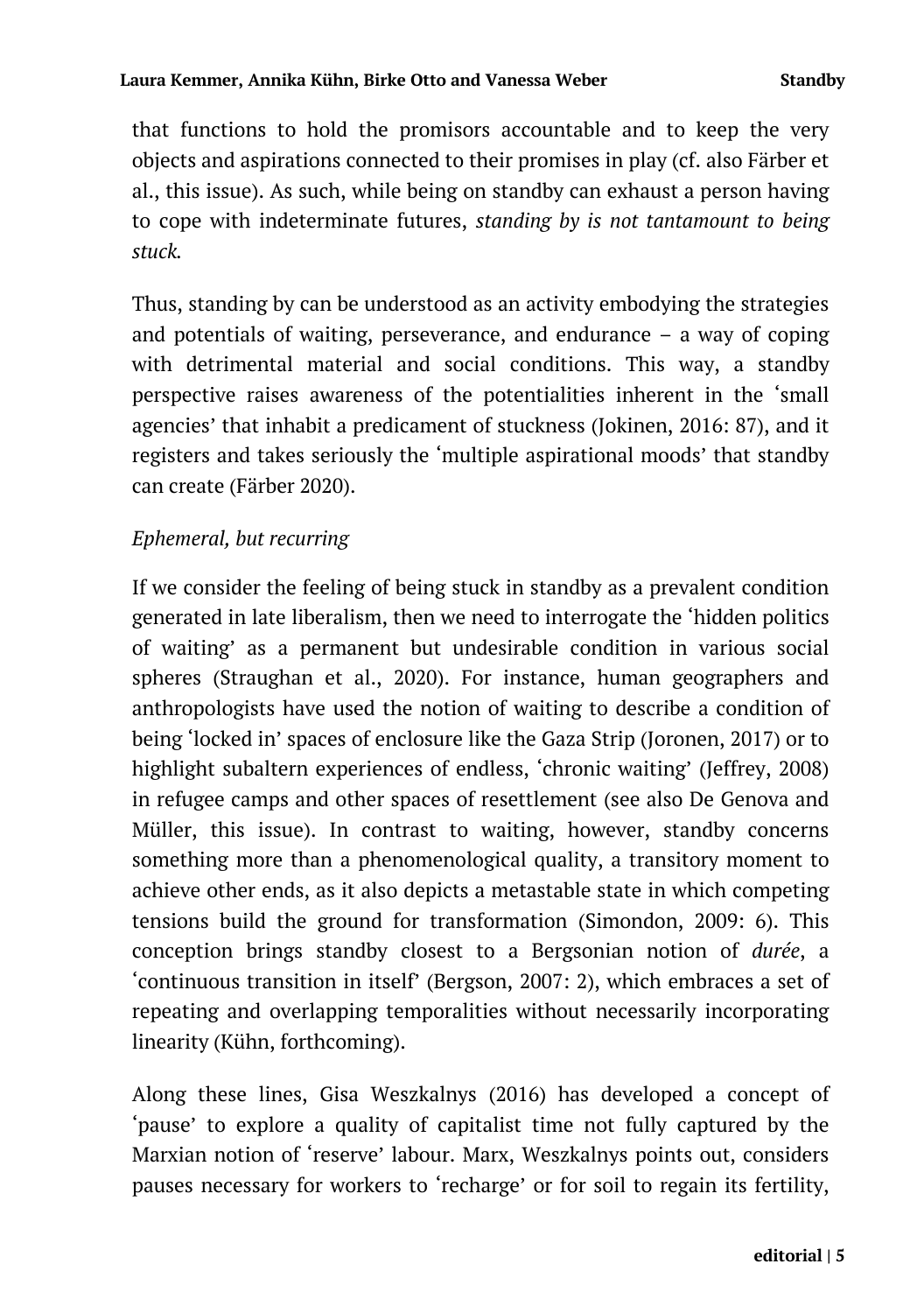that functions to hold the promisors accountable and to keep the very objects and aspirations connected to their promises in play (cf. also Färber et al., this issue). As such, while being on standby can exhaust a person having to cope with indeterminate futures, *standing by is not tantamount to being stuck.*

Thus, standing by can be understood as an activity embodying the strategies and potentials of waiting, perseverance, and endurance – a way of coping with detrimental material and social conditions. This way, a standby perspective raises awareness of the potentialities inherent in the 'small agencies' that inhabit a predicament of stuckness (Jokinen, 2016: 87), and it registers and takes seriously the 'multiple aspirational moods' that standby can create (Färber 2020).

## *Ephemeral, but recurring*

If we consider the feeling of being stuck in standby as a prevalent condition generated in late liberalism, then we need to interrogate the 'hidden politics of waiting' as a permanent but undesirable condition in various social spheres (Straughan et al., 2020). For instance, human geographers and anthropologists have used the notion of waiting to describe a condition of being 'locked in' spaces of enclosure like the Gaza Strip (Joronen, 2017) or to highlight subaltern experiences of endless, 'chronic waiting' (Jeffrey, 2008) in refugee camps and other spaces of resettlement (see also De Genova and Müller, this issue). In contrast to waiting, however, standby concerns something more than a phenomenological quality, a transitory moment to achieve other ends, as it also depicts a metastable state in which competing tensions build the ground for transformation (Simondon, 2009: 6). This conception brings standby closest to a Bergsonian notion of *durée*, a 'continuous transition in itself' (Bergson, 2007: 2), which embraces a set of repeating and overlapping temporalities without necessarily incorporating linearity (Kühn, forthcoming).

Along these lines, Gisa Weszkalnys (2016) has developed a concept of 'pause' to explore a quality of capitalist time not fully captured by the Marxian notion of 'reserve' labour. Marx, Weszkalnys points out, considers pauses necessary for workers to 'recharge' or for soil to regain its fertility,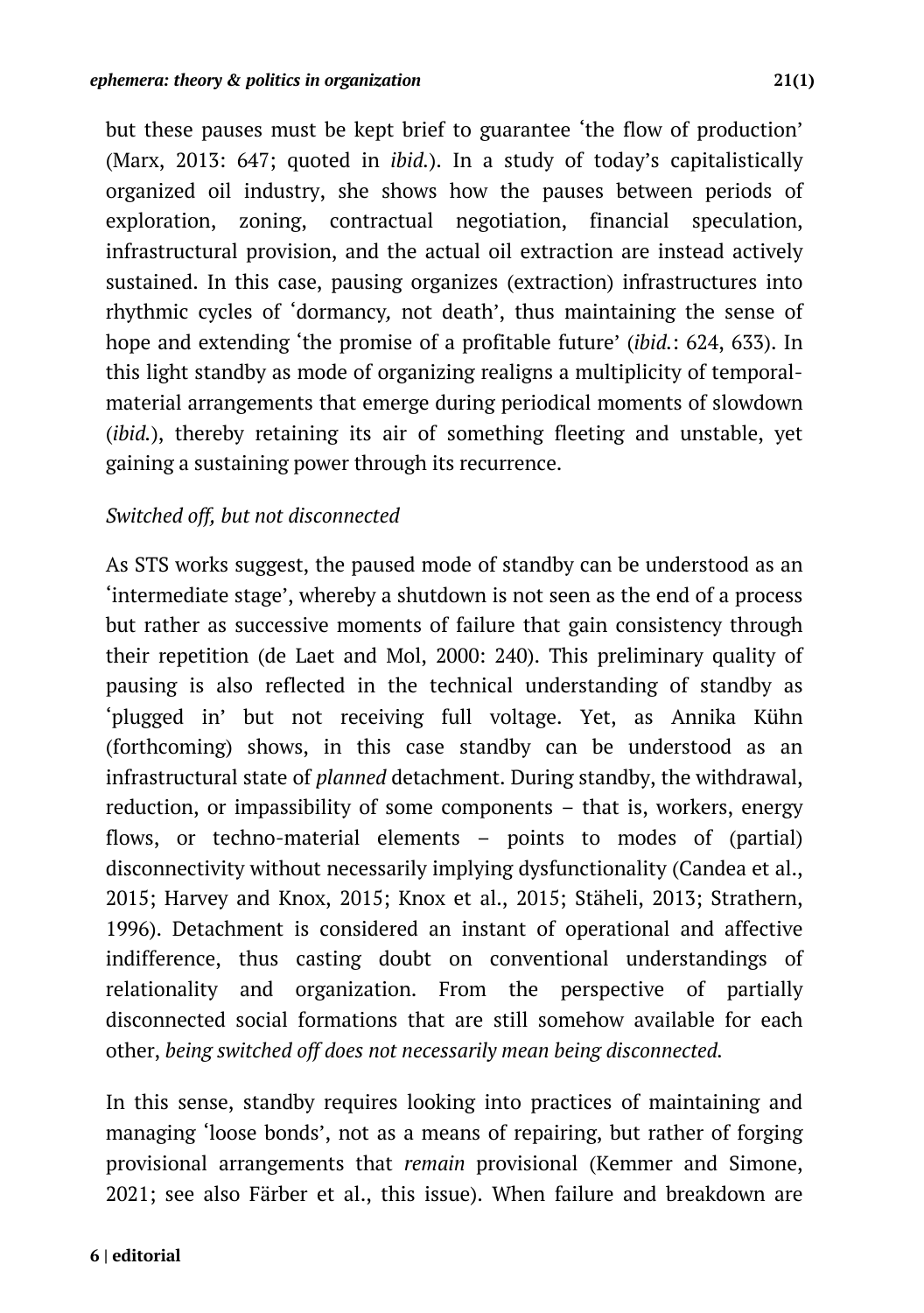but these pauses must be kept brief to guarantee 'the flow of production' (Marx, 2013: 647; quoted in *ibid.*). In a study of today's capitalistically organized oil industry, she shows how the pauses between periods of exploration, zoning, contractual negotiation, financial speculation, infrastructural provision, and the actual oil extraction are instead actively sustained. In this case, pausing organizes (extraction) infrastructures into rhythmic cycles of 'dormancy*,* not death', thus maintaining the sense of hope and extending 'the promise of a profitable future' (*ibid.*: 624, 633). In this light standby as mode of organizing realigns a multiplicity of temporalmaterial arrangements that emerge during periodical moments of slowdown (*ibid.*), thereby retaining its air of something fleeting and unstable, yet gaining a sustaining power through its recurrence.

#### *Switched off, but not disconnected*

As STS works suggest, the paused mode of standby can be understood as an 'intermediate stage', whereby a shutdown is not seen as the end of a process but rather as successive moments of failure that gain consistency through their repetition (de Laet and Mol, 2000: 240). This preliminary quality of pausing is also reflected in the technical understanding of standby as 'plugged in' but not receiving full voltage. Yet, as Annika Kühn (forthcoming) shows, in this case standby can be understood as an infrastructural state of *planned* detachment. During standby, the withdrawal, reduction, or impassibility of some components – that is, workers, energy flows, or techno-material elements – points to modes of (partial) disconnectivity without necessarily implying dysfunctionality (Candea et al., 2015; Harvey and Knox, 2015; Knox et al., 2015; Stäheli, 2013; Strathern, 1996). Detachment is considered an instant of operational and affective indifference, thus casting doubt on conventional understandings of relationality and organization. From the perspective of partially disconnected social formations that are still somehow available for each other, *being switched off does not necessarily mean being disconnected.*

In this sense, standby requires looking into practices of maintaining and managing 'loose bonds', not as a means of repairing, but rather of forging provisional arrangements that *remain* provisional (Kemmer and Simone, 2021; see also Färber et al., this issue). When failure and breakdown are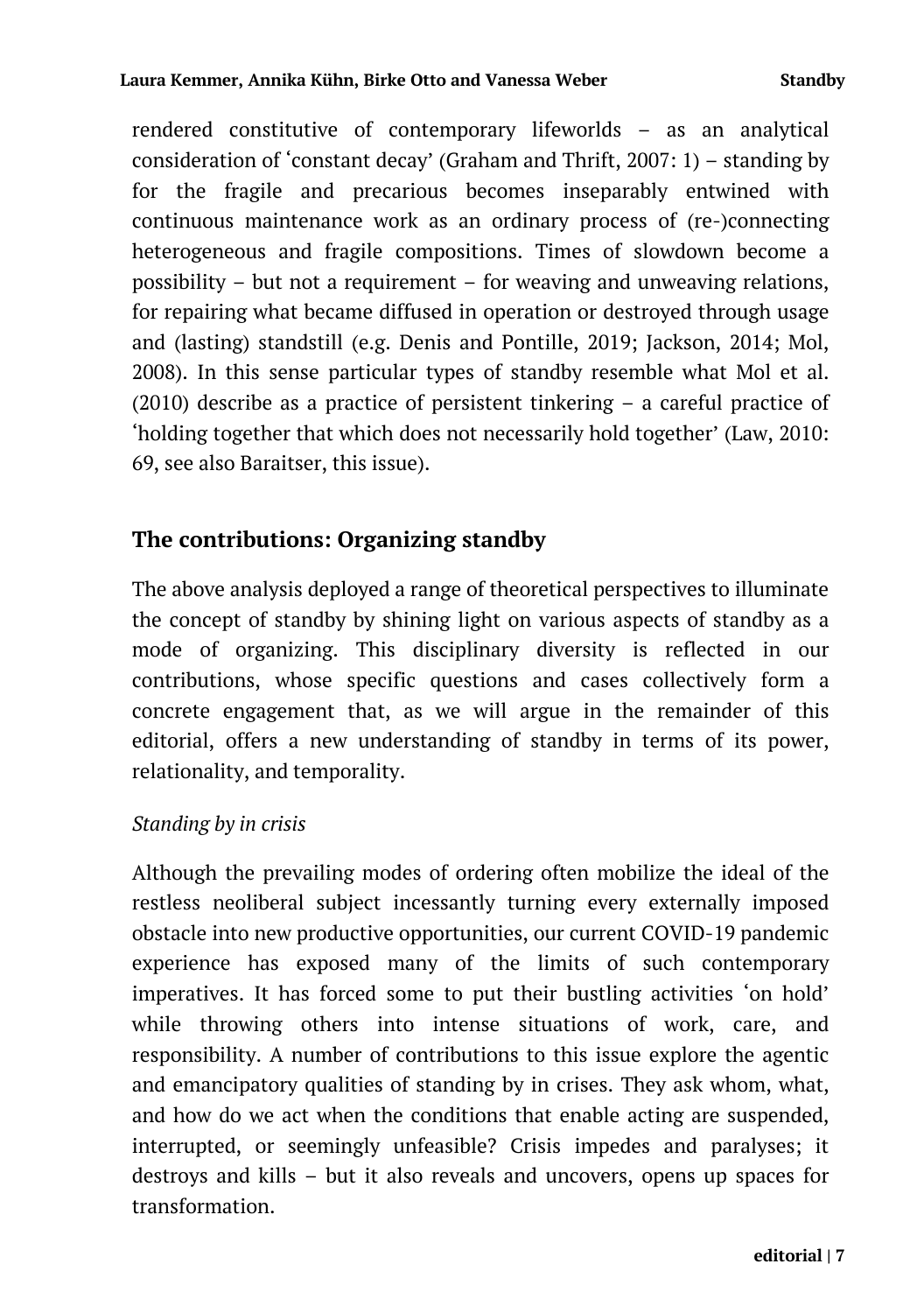rendered constitutive of contemporary lifeworlds – as an analytical consideration of 'constant decay' (Graham and Thrift,  $2007: 1$ ) – standing by for the fragile and precarious becomes inseparably entwined with continuous maintenance work as an ordinary process of (re-)connecting heterogeneous and fragile compositions. Times of slowdown become a possibility – but not a requirement – for weaving and unweaving relations, for repairing what became diffused in operation or destroyed through usage and (lasting) standstill (e.g. Denis and Pontille, 2019; Jackson, 2014; Mol, 2008). In this sense particular types of standby resemble what Mol et al. (2010) describe as a practice of persistent tinkering – a careful practice of 'holding together that which does not necessarily hold together' (Law, 2010: 69, see also Baraitser, this issue).

## **The contributions: Organizing standby**

The above analysis deployed a range of theoretical perspectives to illuminate the concept of standby by shining light on various aspects of standby as a mode of organizing. This disciplinary diversity is reflected in our contributions, whose specific questions and cases collectively form a concrete engagement that, as we will argue in the remainder of this editorial, offers a new understanding of standby in terms of its power, relationality, and temporality.

#### *Standing by in crisis*

Although the prevailing modes of ordering often mobilize the ideal of the restless neoliberal subject incessantly turning every externally imposed obstacle into new productive opportunities, our current COVID-19 pandemic experience has exposed many of the limits of such contemporary imperatives. It has forced some to put their bustling activities 'on hold' while throwing others into intense situations of work, care, and responsibility. A number of contributions to this issue explore the agentic and emancipatory qualities of standing by in crises. They ask whom, what, and how do we act when the conditions that enable acting are suspended, interrupted, or seemingly unfeasible? Crisis impedes and paralyses; it destroys and kills – but it also reveals and uncovers, opens up spaces for transformation.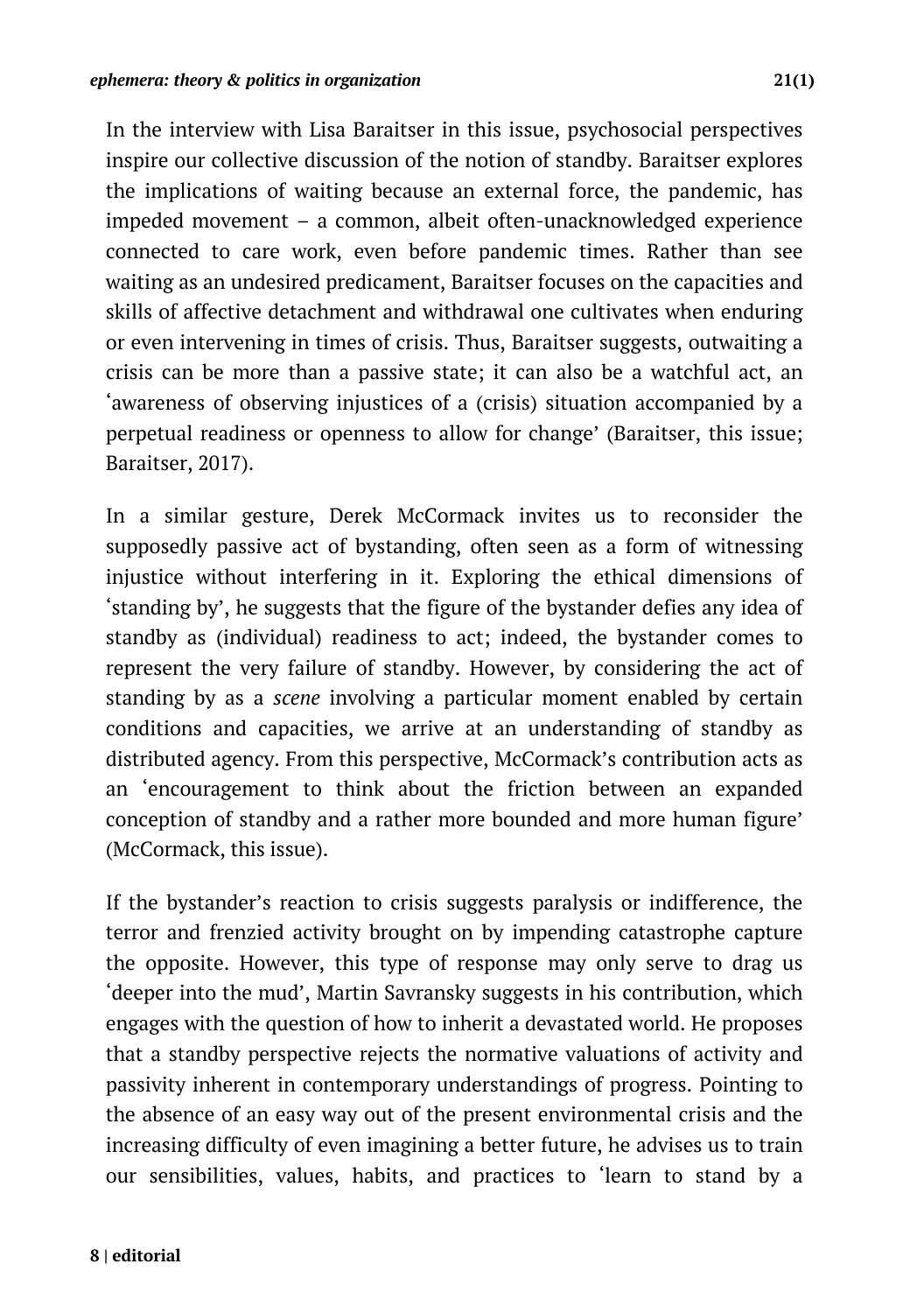In the interview with Lisa Baraitser in this issue, psychosocial perspectives inspire our collective discussion of the notion of standby. Baraitser explores the implications of waiting because an external force, the pandemic, has impeded movement – a common, albeit often-unacknowledged experience connected to care work, even before pandemic times. Rather than see waiting as an undesired predicament, Baraitser focuses on the capacities and skills of affective detachment and withdrawal one cultivates when enduring or even intervening in times of crisis. Thus, Baraitser suggests, outwaiting a crisis can be more than a passive state; it can also be a watchful act, an 'awareness of observing injustices of a (crisis) situation accompanied by a perpetual readiness or openness to allow for change' (Baraitser, this issue; Baraitser, 2017).

In a similar gesture, Derek McCormack invites us to reconsider the supposedly passive act of bystanding, often seen as a form of witnessing injustice without interfering in it. Exploring the ethical dimensions of 'standing by', he suggests that the figure of the bystander defies any idea of standby as (individual) readiness to act; indeed, the bystander comes to represent the very failure of standby. However, by considering the act of standing by as a *scene* involving a particular moment enabled by certain conditions and capacities, we arrive at an understanding of standby as distributed agency. From this perspective, McCormack's contribution acts as an 'encouragement to think about the friction between an expanded conception of standby and a rather more bounded and more human figure' (McCormack, this issue).

If the bystander's reaction to crisis suggests paralysis or indifference, the terror and frenzied activity brought on by impending catastrophe capture the opposite. However, this type of response may only serve to drag us 'deeper into the mud', Martin Savransky suggests in his contribution, which engages with the question of how to inherit a devastated world. He proposes that a standby perspective rejects the normative valuations of activity and passivity inherent in contemporary understandings of progress. Pointing to the absence of an easy way out of the present environmental crisis and the increasing difficulty of even imagining a better future, he advises us to train our sensibilities, values, habits, and practices to 'learn to stand by a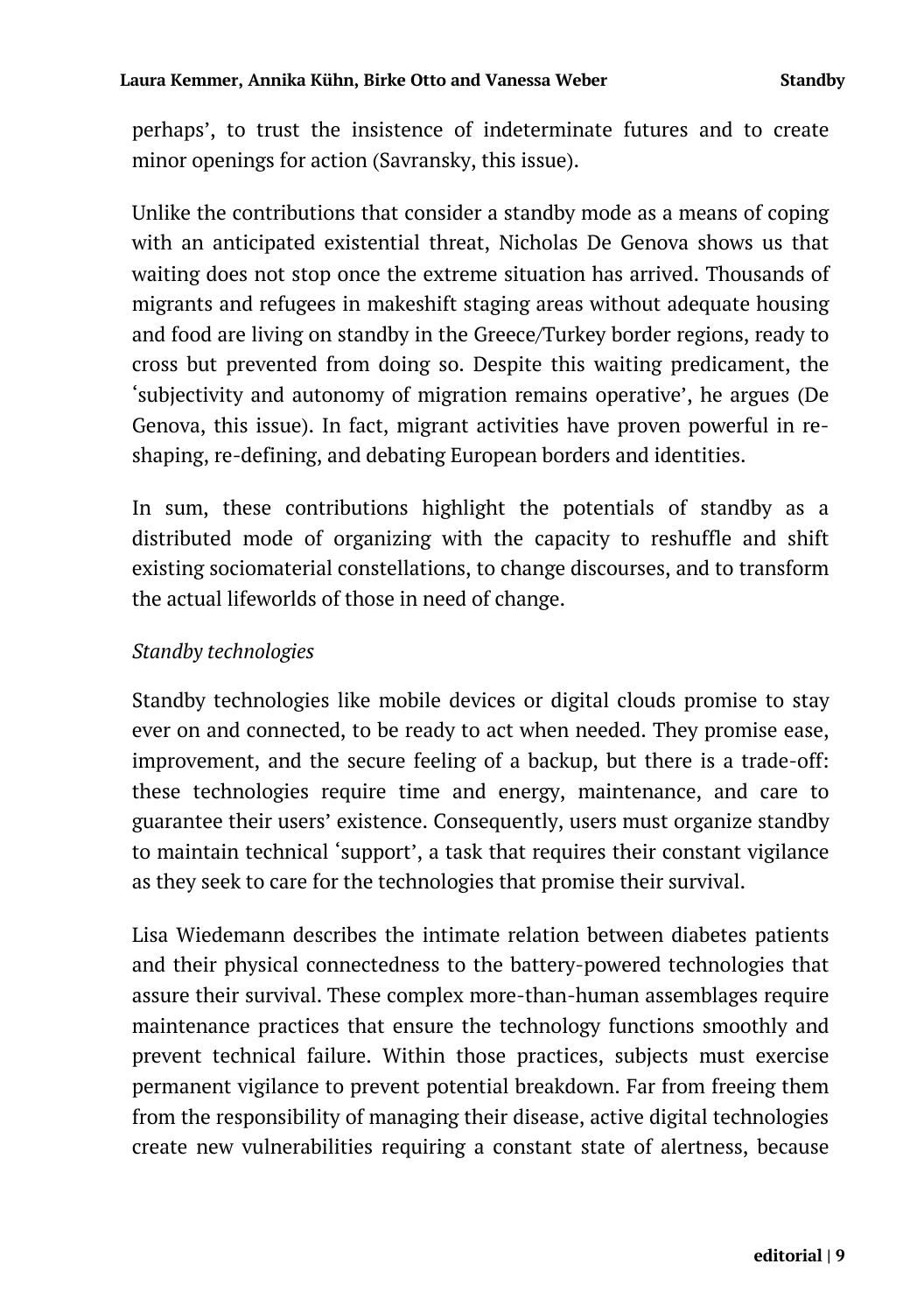perhaps', to trust the insistence of indeterminate futures and to create minor openings for action (Savransky, this issue).

Unlike the contributions that consider a standby mode as a means of coping with an anticipated existential threat, Nicholas De Genova shows us that waiting does not stop once the extreme situation has arrived. Thousands of migrants and refugees in makeshift staging areas without adequate housing and food are living on standby in the Greece/Turkey border regions, ready to cross but prevented from doing so. Despite this waiting predicament, the 'subjectivity and autonomy of migration remains operative', he argues (De Genova, this issue). In fact, migrant activities have proven powerful in reshaping, re-defining, and debating European borders and identities.

In sum, these contributions highlight the potentials of standby as a distributed mode of organizing with the capacity to reshuffle and shift existing sociomaterial constellations, to change discourses, and to transform the actual lifeworlds of those in need of change.

#### *Standby technologies*

Standby technologies like mobile devices or digital clouds promise to stay ever on and connected, to be ready to act when needed. They promise ease, improvement, and the secure feeling of a backup, but there is a trade-off: these technologies require time and energy, maintenance, and care to guarantee their users' existence. Consequently, users must organize standby to maintain technical 'support', a task that requires their constant vigilance as they seek to care for the technologies that promise their survival.

Lisa Wiedemann describes the intimate relation between diabetes patients and their physical connectedness to the battery-powered technologies that assure their survival. These complex more-than-human assemblages require maintenance practices that ensure the technology functions smoothly and prevent technical failure. Within those practices, subjects must exercise permanent vigilance to prevent potential breakdown. Far from freeing them from the responsibility of managing their disease, active digital technologies create new vulnerabilities requiring a constant state of alertness, because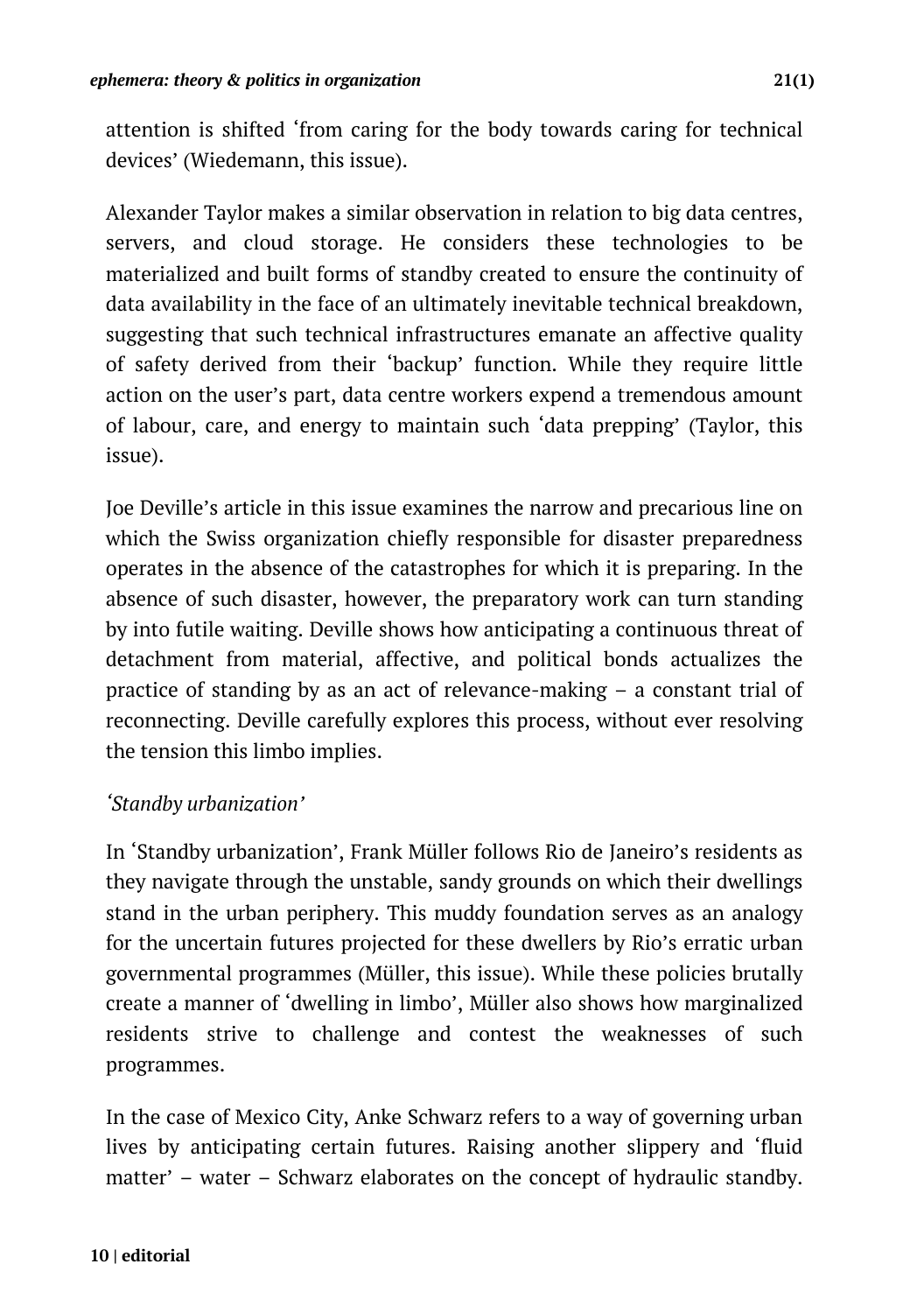attention is shifted 'from caring for the body towards caring for technical devices' (Wiedemann, this issue).

Alexander Taylor makes a similar observation in relation to big data centres, servers, and cloud storage. He considers these technologies to be materialized and built forms of standby created to ensure the continuity of data availability in the face of an ultimately inevitable technical breakdown, suggesting that such technical infrastructures emanate an affective quality of safety derived from their 'backup' function. While they require little action on the user's part, data centre workers expend a tremendous amount of labour, care, and energy to maintain such 'data prepping' (Taylor, this issue).

Joe Deville's article in this issue examines the narrow and precarious line on which the Swiss organization chiefly responsible for disaster preparedness operates in the absence of the catastrophes for which it is preparing. In the absence of such disaster, however, the preparatory work can turn standing by into futile waiting. Deville shows how anticipating a continuous threat of detachment from material, affective, and political bonds actualizes the practice of standing by as an act of relevance-making – a constant trial of reconnecting. Deville carefully explores this process, without ever resolving the tension this limbo implies.

#### *'Standby urbanization'*

In 'Standby urbanization', Frank Müller follows Rio de Janeiro's residents as they navigate through the unstable, sandy grounds on which their dwellings stand in the urban periphery. This muddy foundation serves as an analogy for the uncertain futures projected for these dwellers by Rio's erratic urban governmental programmes (Müller, this issue). While these policies brutally create a manner of 'dwelling in limbo', Müller also shows how marginalized residents strive to challenge and contest the weaknesses of such programmes.

In the case of Mexico City, Anke Schwarz refers to a way of governing urban lives by anticipating certain futures. Raising another slippery and 'fluid matter' – water – Schwarz elaborates on the concept of hydraulic standby.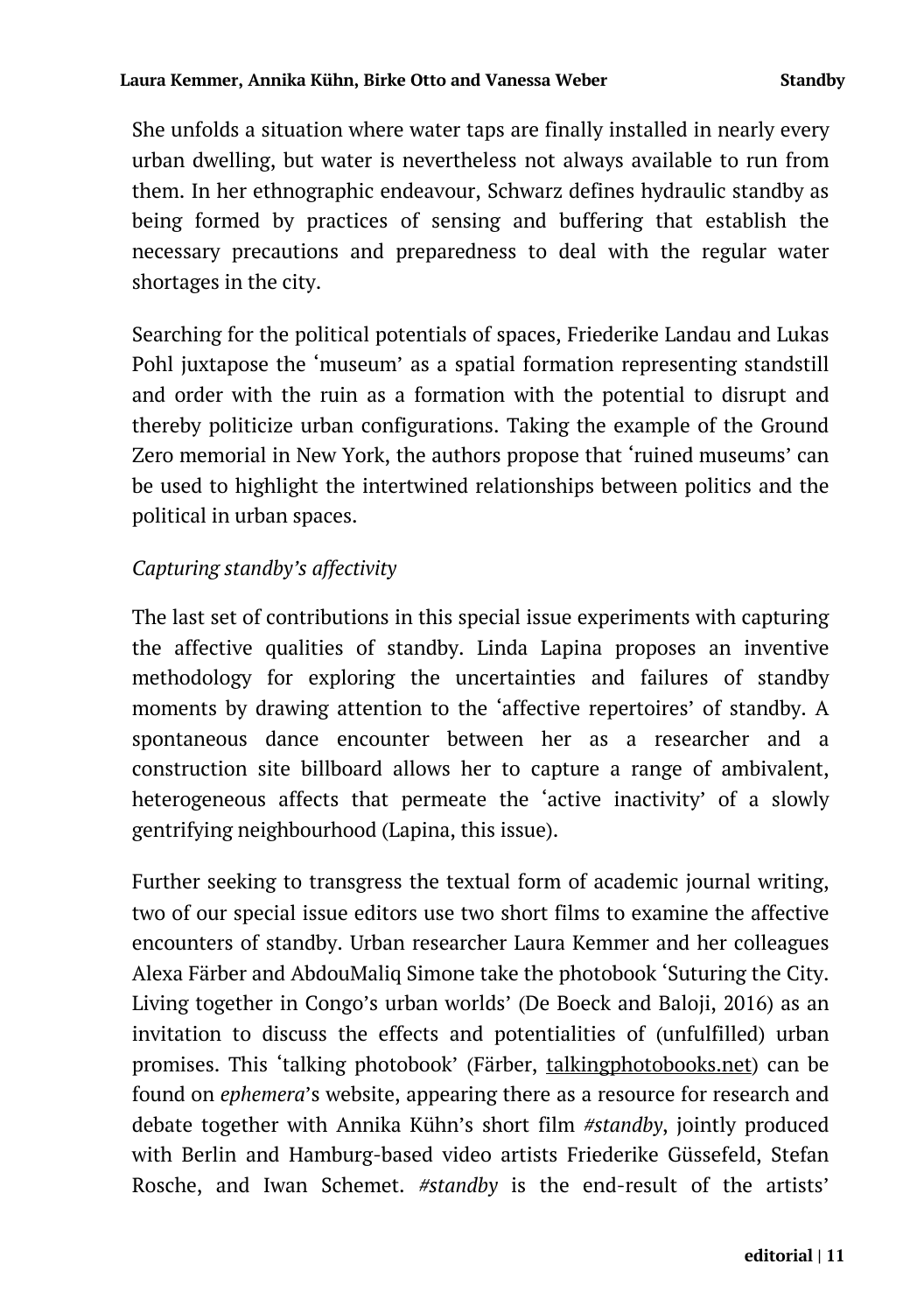She unfolds a situation where water taps are finally installed in nearly every urban dwelling, but water is nevertheless not always available to run from them. In her ethnographic endeavour, Schwarz defines hydraulic standby as being formed by practices of sensing and buffering that establish the necessary precautions and preparedness to deal with the regular water shortages in the city.

Searching for the political potentials of spaces, Friederike Landau and Lukas Pohl juxtapose the 'museum' as a spatial formation representing standstill and order with the ruin as a formation with the potential to disrupt and thereby politicize urban configurations. Taking the example of the Ground Zero memorial in New York, the authors propose that 'ruined museums' can be used to highlight the intertwined relationships between politics and the political in urban spaces.

## *Capturing standby's affectivity*

The last set of contributions in this special issue experiments with capturing the affective qualities of standby. Linda Lapina proposes an inventive methodology for exploring the uncertainties and failures of standby moments by drawing attention to the 'affective repertoires' of standby. A spontaneous dance encounter between her as a researcher and a construction site billboard allows her to capture a range of ambivalent, heterogeneous affects that permeate the 'active inactivity' of a slowly gentrifying neighbourhood (Lapina, this issue).

Further seeking to transgress the textual form of academic journal writing, two of our special issue editors use two short films to examine the affective encounters of standby. Urban researcher Laura Kemmer and her colleagues Alexa Färber and AbdouMaliq Simone take the photobook 'Suturing the City. Living together in Congo's urban worlds' (De Boeck and Baloji, 2016) as an invitation to discuss the effects and potentialities of (unfulfilled) urban promises. This 'talking photobook' (Färber, talkingphotobooks.net) can be found on *ephemera*'s website, appearing there as a resource for research and debate together with Annika Kühn's short film *#standby*, jointly produced with Berlin and Hamburg-based video artists Friederike Güssefeld, Stefan Rosche, and Iwan Schemet. *#standby* is the end-result of the artists'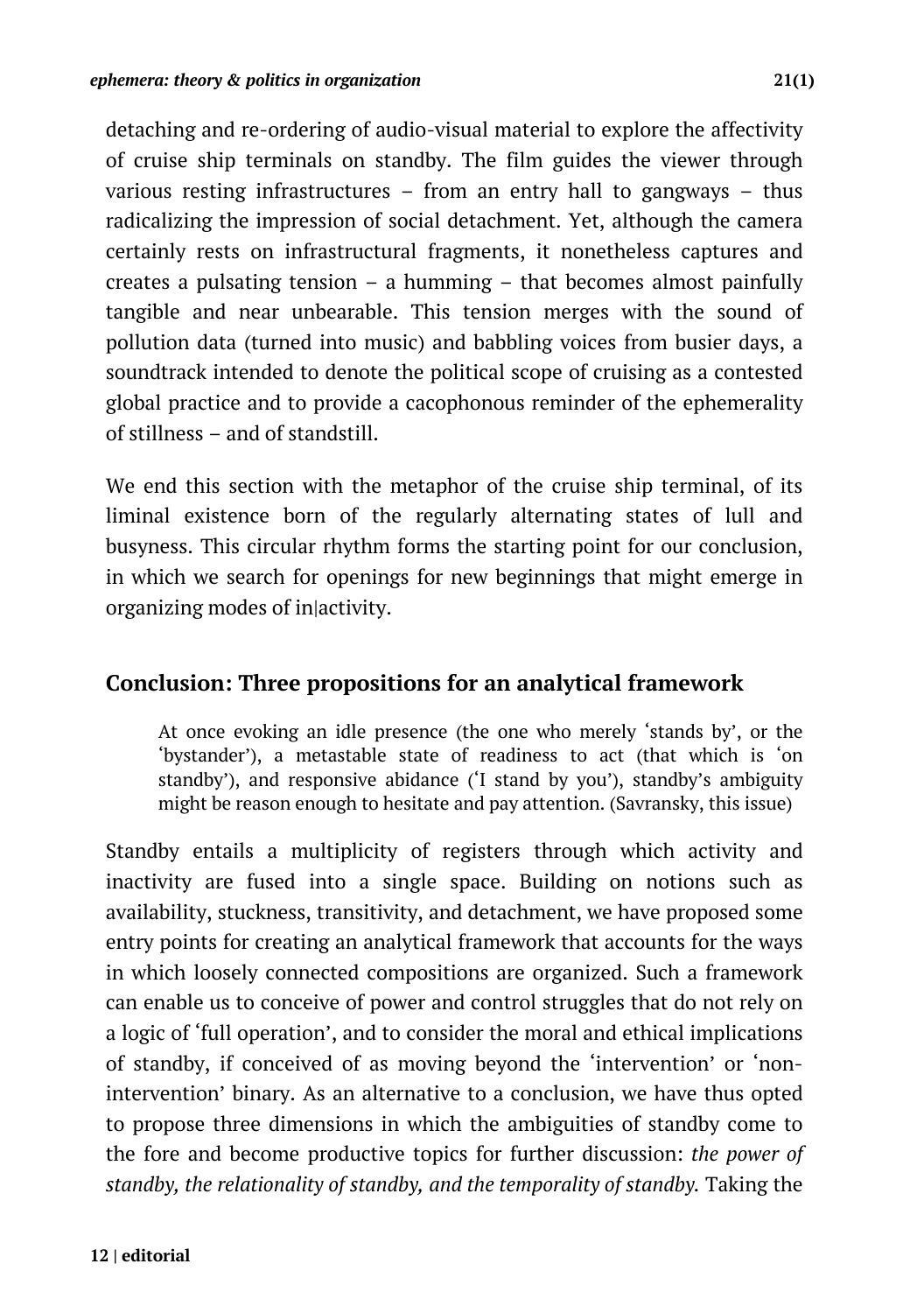detaching and re-ordering of audio-visual material to explore the affectivity of cruise ship terminals on standby. The film guides the viewer through various resting infrastructures – from an entry hall to gangways – thus radicalizing the impression of social detachment. Yet, although the camera certainly rests on infrastructural fragments, it nonetheless captures and creates a pulsating tension – a humming – that becomes almost painfully tangible and near unbearable. This tension merges with the sound of pollution data (turned into music) and babbling voices from busier days, a soundtrack intended to denote the political scope of cruising as a contested global practice and to provide a cacophonous reminder of the ephemerality of stillness – and of standstill.

We end this section with the metaphor of the cruise ship terminal, of its liminal existence born of the regularly alternating states of lull and busyness. This circular rhythm forms the starting point for our conclusion, in which we search for openings for new beginnings that might emerge in organizing modes of in|activity.

#### **Conclusion: Three propositions for an analytical framework**

At once evoking an idle presence (the one who merely 'stands by', or the 'bystander'), a metastable state of readiness to act (that which is 'on standby'), and responsive abidance ('I stand by you'), standby's ambiguity might be reason enough to hesitate and pay attention. (Savransky, this issue)

Standby entails a multiplicity of registers through which activity and inactivity are fused into a single space. Building on notions such as availability, stuckness, transitivity, and detachment, we have proposed some entry points for creating an analytical framework that accounts for the ways in which loosely connected compositions are organized. Such a framework can enable us to conceive of power and control struggles that do not rely on a logic of 'full operation', and to consider the moral and ethical implications of standby, if conceived of as moving beyond the 'intervention' or 'nonintervention' binary. As an alternative to a conclusion, we have thus opted to propose three dimensions in which the ambiguities of standby come to the fore and become productive topics for further discussion: *the power of standby, the relationality of standby, and the temporality of standby.* Taking the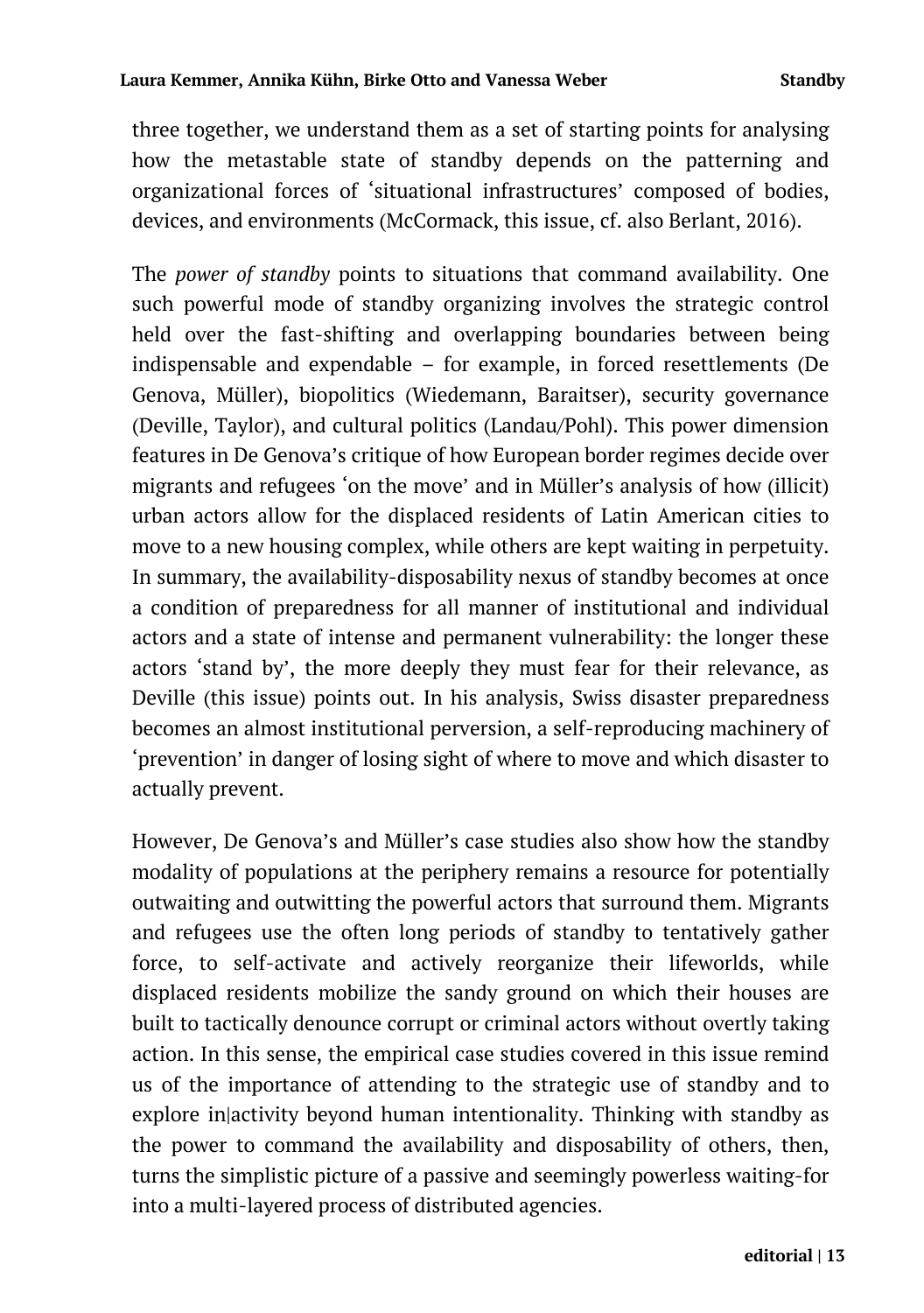three together, we understand them as a set of starting points for analysing how the metastable state of standby depends on the patterning and organizational forces of 'situational infrastructures' composed of bodies, devices, and environments (McCormack, this issue, cf. also Berlant, 2016).

The *power of standby* points to situations that command availability. One such powerful mode of standby organizing involves the strategic control held over the fast-shifting and overlapping boundaries between being indispensable and expendable – for example, in forced resettlements (De Genova, Müller), biopolitics (Wiedemann, Baraitser), security governance (Deville, Taylor), and cultural politics (Landau/Pohl). This power dimension features in De Genova's critique of how European border regimes decide over migrants and refugees 'on the move' and in Müller's analysis of how (illicit) urban actors allow for the displaced residents of Latin American cities to move to a new housing complex, while others are kept waiting in perpetuity. In summary, the availability-disposability nexus of standby becomes at once a condition of preparedness for all manner of institutional and individual actors and a state of intense and permanent vulnerability: the longer these actors 'stand by', the more deeply they must fear for their relevance, as Deville (this issue) points out. In his analysis, Swiss disaster preparedness becomes an almost institutional perversion, a self-reproducing machinery of 'prevention' in danger of losing sight of where to move and which disaster to actually prevent.

However, De Genova's and Müller's case studies also show how the standby modality of populations at the periphery remains a resource for potentially outwaiting and outwitting the powerful actors that surround them. Migrants and refugees use the often long periods of standby to tentatively gather force, to self-activate and actively reorganize their lifeworlds, while displaced residents mobilize the sandy ground on which their houses are built to tactically denounce corrupt or criminal actors without overtly taking action. In this sense, the empirical case studies covered in this issue remind us of the importance of attending to the strategic use of standby and to explore in|activity beyond human intentionality. Thinking with standby as the power to command the availability and disposability of others, then, turns the simplistic picture of a passive and seemingly powerless waiting-for into a multi-layered process of distributed agencies.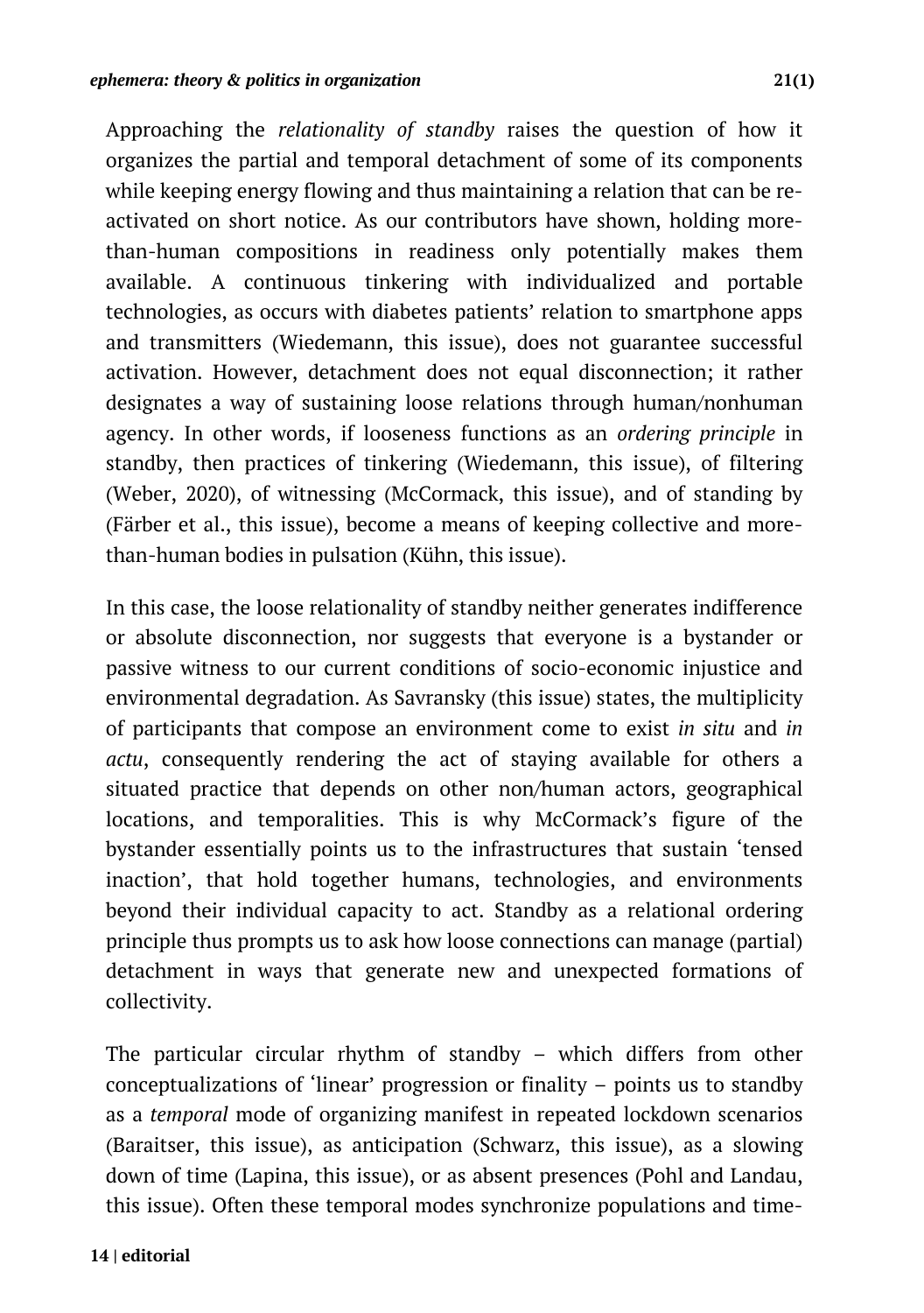Approaching the *relationality of standby* raises the question of how it organizes the partial and temporal detachment of some of its components while keeping energy flowing and thus maintaining a relation that can be reactivated on short notice. As our contributors have shown, holding morethan-human compositions in readiness only potentially makes them available. A continuous tinkering with individualized and portable technologies, as occurs with diabetes patients' relation to smartphone apps and transmitters (Wiedemann, this issue), does not guarantee successful activation. However, detachment does not equal disconnection; it rather designates a way of sustaining loose relations through human/nonhuman agency. In other words, if looseness functions as an *ordering principle* in standby, then practices of tinkering (Wiedemann, this issue), of filtering (Weber, 2020), of witnessing (McCormack, this issue), and of standing by (Färber et al., this issue), become a means of keeping collective and morethan-human bodies in pulsation (Kühn, this issue).

In this case, the loose relationality of standby neither generates indifference or absolute disconnection, nor suggests that everyone is a bystander or passive witness to our current conditions of socio-economic injustice and environmental degradation. As Savransky (this issue) states, the multiplicity of participants that compose an environment come to exist *in situ* and *in actu*, consequently rendering the act of staying available for others a situated practice that depends on other non/human actors, geographical locations, and temporalities. This is why McCormack's figure of the bystander essentially points us to the infrastructures that sustain 'tensed inaction', that hold together humans, technologies, and environments beyond their individual capacity to act. Standby as a relational ordering principle thus prompts us to ask how loose connections can manage (partial) detachment in ways that generate new and unexpected formations of collectivity.

The particular circular rhythm of standby *–* which differs from other conceptualizations of 'linear' progression or finality – points us to standby as a *temporal* mode of organizing manifest in repeated lockdown scenarios (Baraitser, this issue), as anticipation (Schwarz, this issue), as a slowing down of time (Lapina, this issue), or as absent presences (Pohl and Landau, this issue). Often these temporal modes synchronize populations and time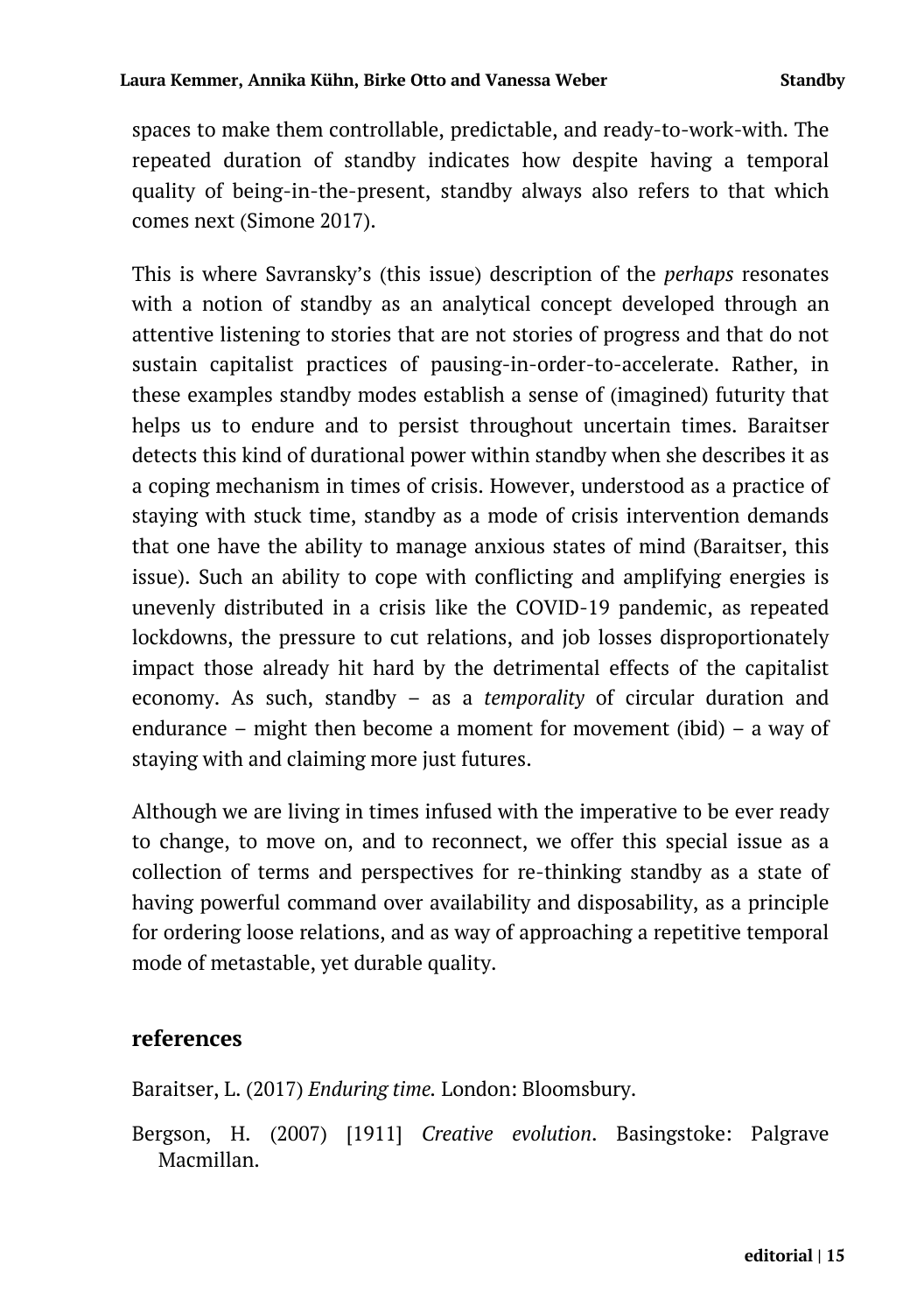spaces to make them controllable, predictable, and ready-to-work-with. The repeated duration of standby indicates how despite having a temporal quality of being-in-the-present, standby always also refers to that which comes next (Simone 2017).

This is where Savransky's (this issue) description of the *perhaps* resonates with a notion of standby as an analytical concept developed through an attentive listening to stories that are not stories of progress and that do not sustain capitalist practices of pausing-in-order-to-accelerate. Rather, in these examples standby modes establish a sense of (imagined) futurity that helps us to endure and to persist throughout uncertain times. Baraitser detects this kind of durational power within standby when she describes it as a coping mechanism in times of crisis. However, understood as a practice of staying with stuck time, standby as a mode of crisis intervention demands that one have the ability to manage anxious states of mind (Baraitser, this issue). Such an ability to cope with conflicting and amplifying energies is unevenly distributed in a crisis like the COVID-19 pandemic, as repeated lockdowns, the pressure to cut relations, and job losses disproportionately impact those already hit hard by the detrimental effects of the capitalist economy. As such, standby – as a *temporality* of circular duration and endurance – might then become a moment for movement (ibid) – a way of staying with and claiming more just futures.

Although we are living in times infused with the imperative to be ever ready to change, to move on, and to reconnect, we offer this special issue as a collection of terms and perspectives for re-thinking standby as a state of having powerful command over availability and disposability, as a principle for ordering loose relations, and as way of approaching a repetitive temporal mode of metastable, yet durable quality.

## **references**

Baraitser, L. (2017) *Enduring time.* London: Bloomsbury.

Bergson, H. (2007) [1911] *Creative evolution*. Basingstoke: Palgrave Macmillan.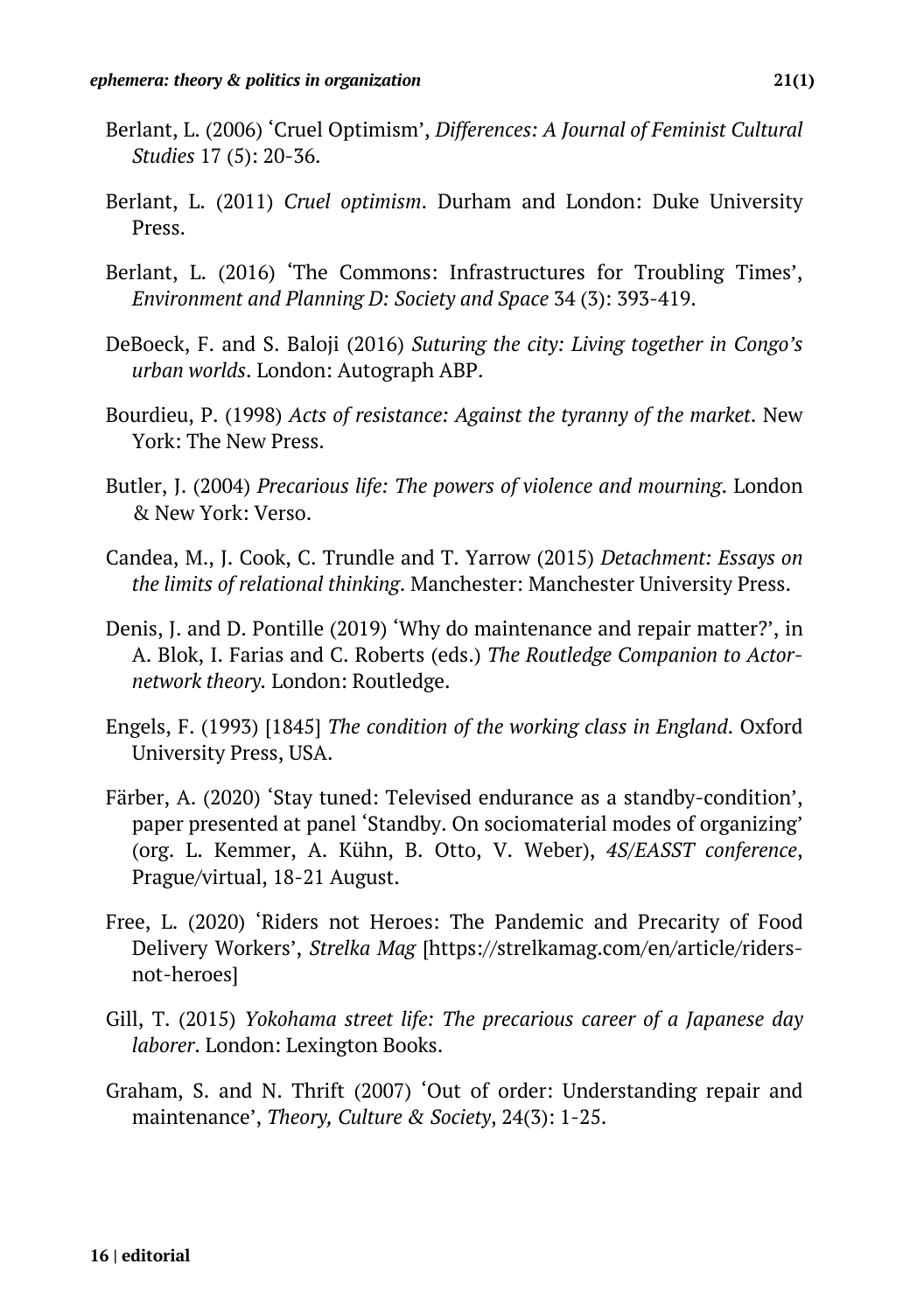- Berlant, L. (2006) 'Cruel Optimism', *Differences: A Journal of Feminist Cultural Studies* 17 (5): 20-36.
- Berlant, L. (2011) *Cruel optimism*. Durham and London: Duke University Press.
- Berlant, L. (2016) 'The Commons: Infrastructures for Troubling Times', *Environment and Planning D: Society and Space* 34 (3): 393-419.
- DeBoeck, F. and S. Baloji (2016) *Suturing the city: Living together in Congo's urban worlds*. London: Autograph ABP.
- Bourdieu, P. (1998) *Acts of resistance: Against the tyranny of the market*. New York: The New Press.
- Butler, J. (2004) *Precarious life: The powers of violence and mourning*. London & New York: Verso.
- Candea, M., J. Cook, C. Trundle and T. Yarrow (2015) *Detachment: Essays on the limits of relational thinking*. Manchester: Manchester University Press.
- Denis, J. and D. Pontille (2019) 'Why do maintenance and repair matter?', in A. Blok, I. Farias and C. Roberts (eds.) *The Routledge Companion to Actornetwork theory.* London: Routledge.
- Engels, F. (1993) [1845] *The condition of the working class in England*. Oxford University Press, USA.
- Färber, A. (2020) 'Stay tuned: Televised endurance as a standby-condition', paper presented at panel 'Standby. On sociomaterial modes of organizing' (org. L. Kemmer, A. Kühn, B. Otto, V. Weber), *4S/EASST conference*, Prague/virtual, 18-21 August.
- Free, L. (2020) 'Riders not Heroes: The Pandemic and Precarity of Food Delivery Workers', *Strelka Mag* [https://strelkamag.com/en/article/ridersnot-heroes]
- Gill, T. (2015) *Yokohama street life: The precarious career of a Japanese day laborer*. London: Lexington Books.
- Graham, S. and N. Thrift (2007) 'Out of order: Understanding repair and maintenance', *Theory, Culture & Society*, 24(3): 1-25.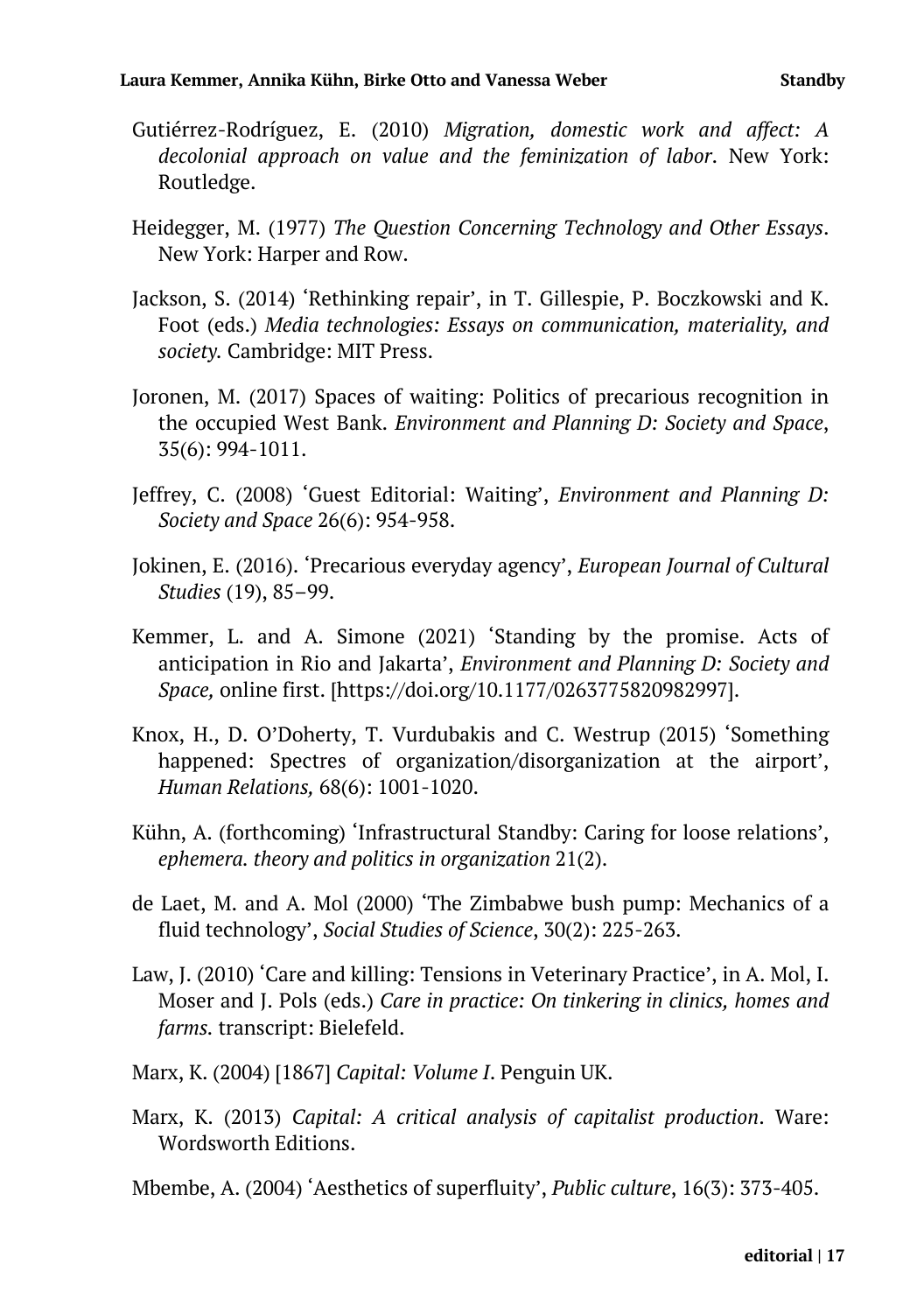- Gutiérrez-Rodríguez, E. (2010) *Migration, domestic work and affect: A decolonial approach on value and the feminization of labor*. New York: Routledge.
- Heidegger, M. (1977) *The Question Concerning Technology and Other Essays*. New York: Harper and Row.
- Jackson, S. (2014) 'Rethinking repair', in T. Gillespie, P. Boczkowski and K. Foot (eds.) *Media technologies: Essays on communication, materiality, and society.* Cambridge: MIT Press.
- Joronen, M. (2017) Spaces of waiting: Politics of precarious recognition in the occupied West Bank. *Environment and Planning D: Society and Space*, 35(6): 994-1011.
- Jeffrey, C. (2008) 'Guest Editorial: Waiting', *Environment and Planning D: Society and Space* 26(6): 954-958.
- Jokinen, E. (2016). 'Precarious everyday agency', *European Journal of Cultural Studies* (19), 85–99.
- Kemmer, L. and A. Simone (2021) 'Standing by the promise. Acts of anticipation in Rio and Jakarta', *Environment and Planning D: Society and Space,* online first. [https://doi.org/10.1177/0263775820982997].
- Knox, H., D. O'Doherty, T. Vurdubakis and C. Westrup (2015) 'Something happened: Spectres of organization/disorganization at the airport', *Human Relations,* 68(6): 1001-1020.
- Kühn, A. (forthcoming) 'Infrastructural Standby: Caring for loose relations', *ephemera. theory and politics in organization* 21(2).
- de Laet, M. and A. Mol (2000) 'The Zimbabwe bush pump: Mechanics of a fluid technology', *Social Studies of Science*, 30(2): 225-263.
- Law, J. (2010) 'Care and killing: Tensions in Veterinary Practice', in A. Mol, I. Moser and J. Pols (eds.) *Care in practice: On tinkering in clinics, homes and farms.* transcript: Bielefeld.
- Marx, K. (2004) [1867] *Capital: Volume I*. Penguin UK.
- Marx, K. (2013) *Capital: A critical analysis of capitalist production*. Ware: Wordsworth Editions.
- Mbembe, A. (2004) 'Aesthetics of superfluity', *Public culture*, 16(3): 373-405.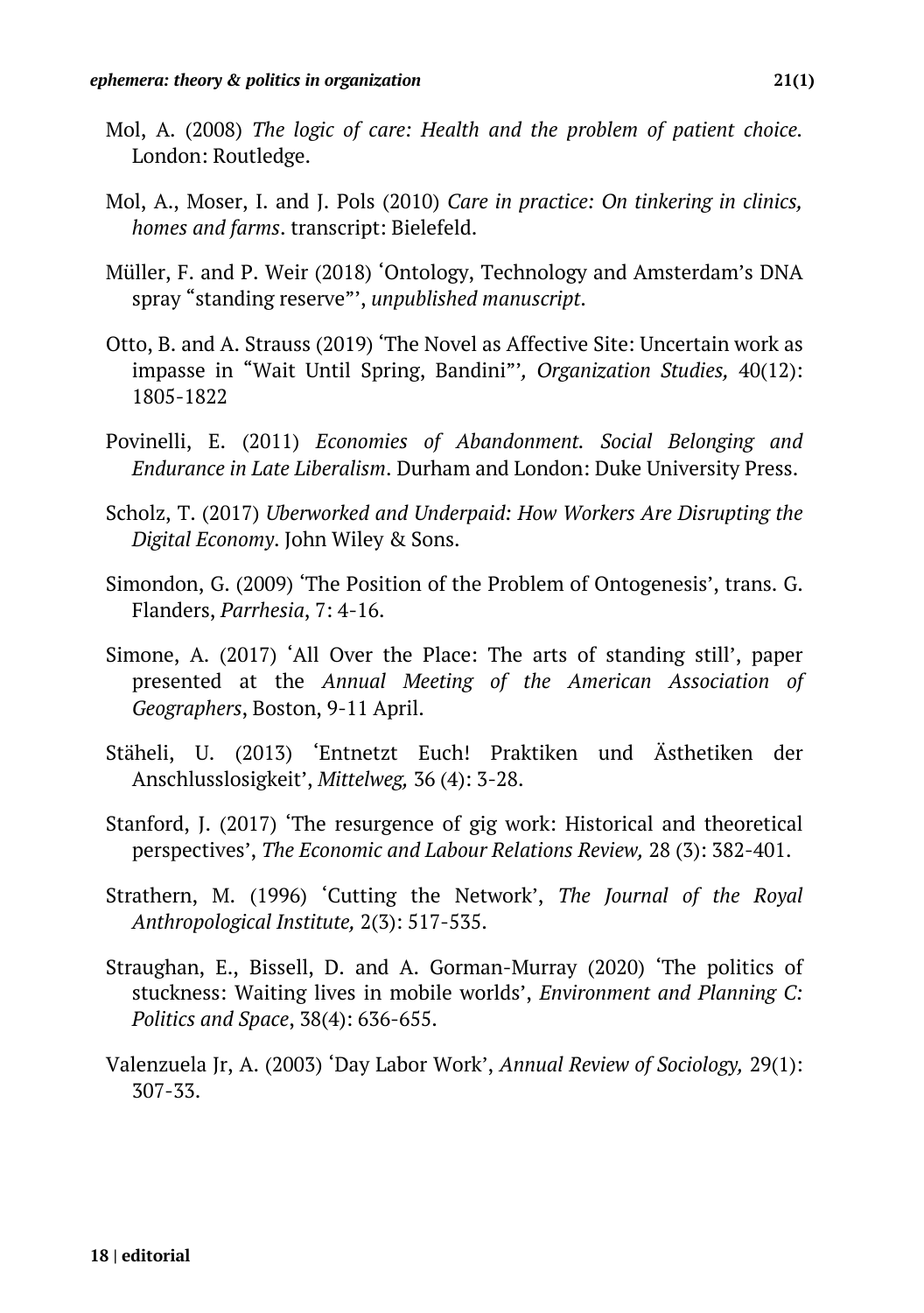- Mol, A. (2008) *The logic of care: Health and the problem of patient choice.* London: Routledge.
- Mol, A., Moser, I. and J. Pols (2010) *Care in practice: On tinkering in clinics, homes and farms*. transcript: Bielefeld.
- Müller, F. and P. Weir (2018) 'Ontology, Technology and Amsterdam's DNA spray "standing reserve"', *unpublished manuscript*.
- Otto, B. and A. Strauss (2019) 'The Novel as Affective Site: Uncertain work as impasse in "Wait Until Spring, Bandini"'*, Organization Studies,* 40(12): 1805-1822
- Povinelli, E. (2011) *Economies of Abandonment. Social Belonging and Endurance in Late Liberalism*. Durham and London: Duke University Press.
- Scholz, T. (2017) *Uberworked and Underpaid: How Workers Are Disrupting the Digital Economy*. John Wiley & Sons.
- Simondon, G. (2009) 'The Position of the Problem of Ontogenesis', trans. G. Flanders, *Parrhesia*, 7: 4-16.
- Simone, A. (2017) 'All Over the Place: The arts of standing still', paper presented at the *Annual Meeting of the American Association of Geographers*, Boston, 9-11 April.
- Stäheli, U. (2013) 'Entnetzt Euch! Praktiken und Ästhetiken der Anschlusslosigkeit', *Mittelweg,* 36 (4): 3-28.
- Stanford, J. (2017) 'The resurgence of gig work: Historical and theoretical perspectives', *The Economic and Labour Relations Review,* 28 (3): 382-401.
- Strathern, M. (1996) 'Cutting the Network', *The Journal of the Royal Anthropological Institute,* 2(3): 517-535.
- Straughan, E., Bissell, D. and A. Gorman-Murray (2020) 'The politics of stuckness: Waiting lives in mobile worlds', *Environment and Planning C: Politics and Space*, 38(4): 636-655.
- Valenzuela Jr, A. (2003) 'Day Labor Work', *Annual Review of Sociology,* 29(1): 307-33.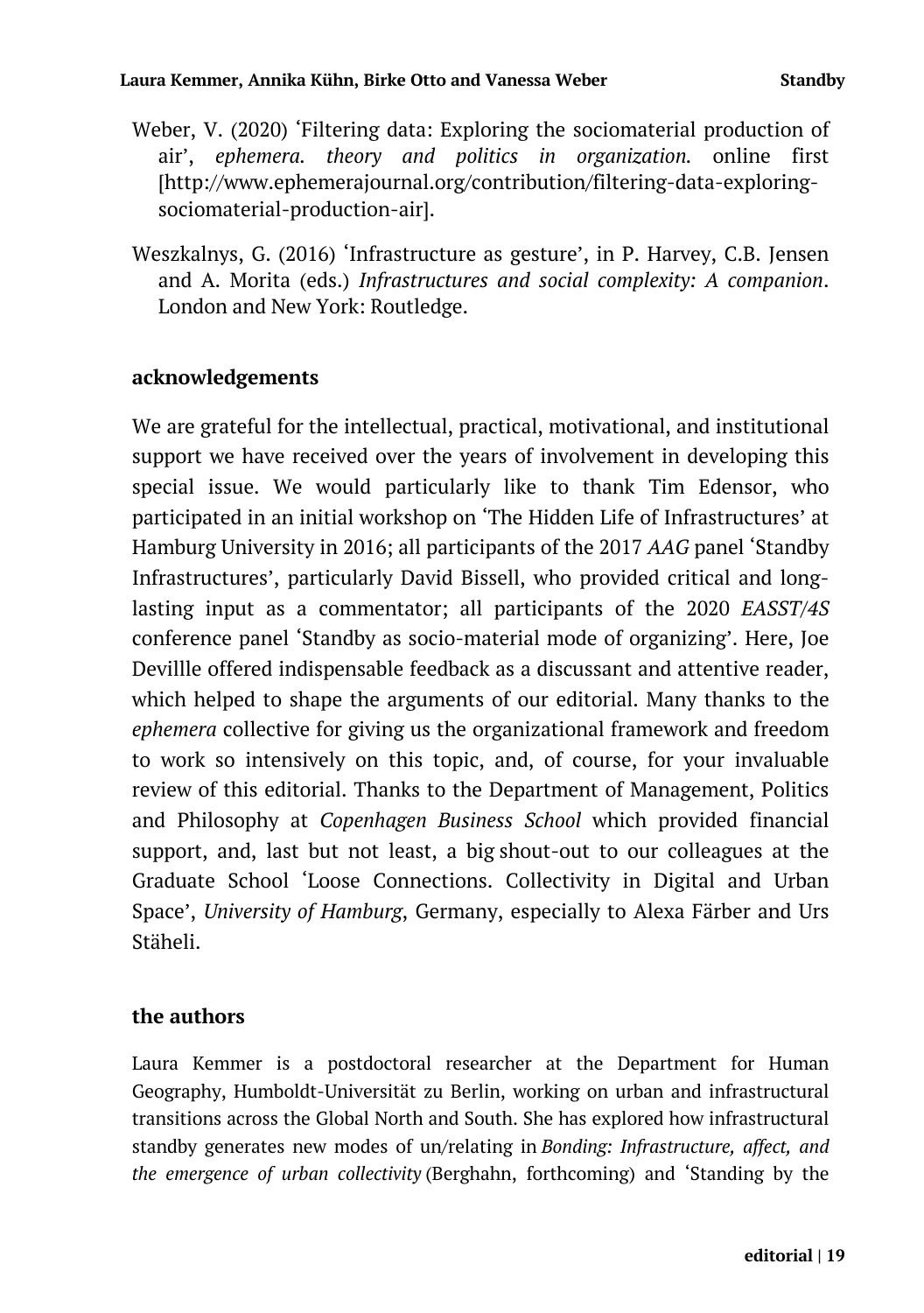- Weber, V. (2020) 'Filtering data: Exploring the sociomaterial production of air', *ephemera. theory and politics in organization.* online first [http://www.ephemerajournal.org/contribution/filtering-data-exploringsociomaterial-production-air].
- Weszkalnys, G. (2016) 'Infrastructure as gesture', in P. Harvey, C.B. Jensen and A. Morita (eds.) *Infrastructures and social complexity: A companion*. London and New York: Routledge.

#### **acknowledgements**

We are grateful for the intellectual, practical, motivational, and institutional support we have received over the years of involvement in developing this special issue. We would particularly like to thank Tim Edensor, who participated in an initial workshop on 'The Hidden Life of Infrastructures' at Hamburg University in 2016; all participants of the 2017 *AAG* panel 'Standby Infrastructures', particularly David Bissell, who provided critical and longlasting input as a commentator; all participants of the 2020 *EASST/4S* conference panel 'Standby as socio-material mode of organizing'. Here, Joe Devillle offered indispensable feedback as a discussant and attentive reader, which helped to shape the arguments of our editorial. Many thanks to the *ephemera* collective for giving us the organizational framework and freedom to work so intensively on this topic, and, of course, for your invaluable review of this editorial. Thanks to the Department of Management, Politics and Philosophy at *Copenhagen Business School* which provided financial support, and, last but not least, a big shout-out to our colleagues at the Graduate School 'Loose Connections. Collectivity in Digital and Urban Space', *University of Hamburg*, Germany, especially to Alexa Färber and Urs Stäheli.

#### **the authors**

Laura Kemmer is a postdoctoral researcher at the Department for Human Geography, Humboldt-Universität zu Berlin, working on urban and infrastructural transitions across the Global North and South. She has explored how infrastructural standby generates new modes of un/relating in *Bonding: Infrastructure, affect, and the emergence of urban collectivity* (Berghahn, forthcoming) and 'Standing by the